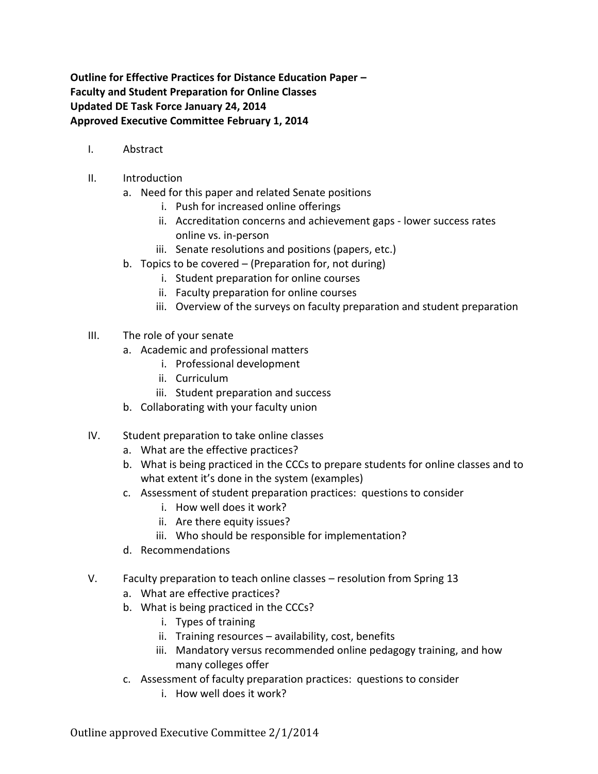**Outline for Effective Practices for Distance Education Paper – Faculty and Student Preparation for Online Classes Updated DE Task Force January 24, 2014 Approved Executive Committee February 1, 2014**

- I. Abstract
- II. Introduction
	- a. Need for this paper and related Senate positions
		- i. Push for increased online offerings
		- ii. Accreditation concerns and achievement gaps lower success rates online vs. in-person
		- iii. Senate resolutions and positions (papers, etc.)
	- b. Topics to be covered (Preparation for, not during)
		- i. Student preparation for online courses
		- ii. Faculty preparation for online courses
		- iii. Overview of the surveys on faculty preparation and student preparation
- III. The role of your senate
	- a. Academic and professional matters
		- i. Professional development
		- ii. Curriculum
		- iii. Student preparation and success
	- b. Collaborating with your faculty union
- IV. Student preparation to take online classes
	- a. What are the effective practices?
	- b. What is being practiced in the CCCs to prepare students for online classes and to what extent it's done in the system (examples)
	- c. Assessment of student preparation practices: questions to consider
		- i. How well does it work?
		- ii. Are there equity issues?
		- iii. Who should be responsible for implementation?
	- d. Recommendations
- V. Faculty preparation to teach online classes resolution from Spring 13
	- a. What are effective practices?
	- b. What is being practiced in the CCCs?
		- i. Types of training
		- ii. Training resources availability, cost, benefits
		- iii. Mandatory versus recommended online pedagogy training, and how many colleges offer
	- c. Assessment of faculty preparation practices: questions to consider
		- i. How well does it work?